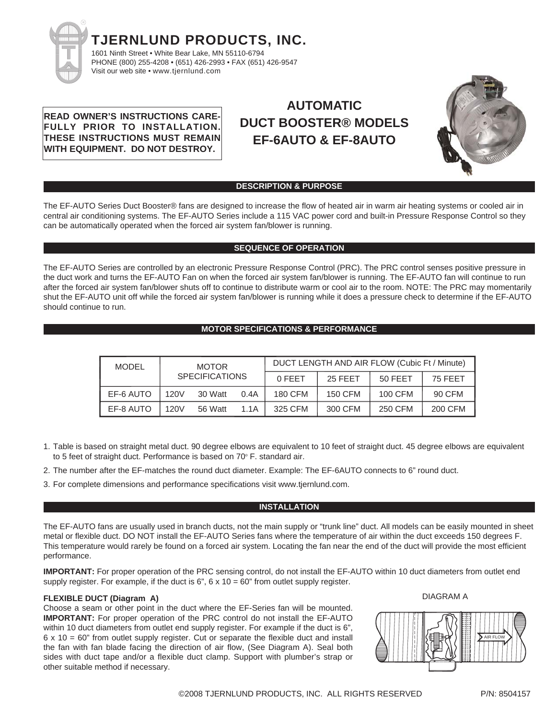

**READ OWNER'S INSTRUCTIONS CARE-FULLY PRIOR TO INSTALLATION. THESE INSTRUCTIONS MUST REMAIN WITH EQUIPMENT. DO NOT DESTROY.**

# **AUTOMATIC DUCT BOOSTER® MODELS EF-6AUTO & EF-8AUTO**



## **DESCRIPTION & PURPOSE**

The EF-AUTO Series Duct Booster® fans are designed to increase the flow of heated air in warm air heating systems or cooled air in central air conditioning systems. The EF-AUTO Series include a 115 VAC power cord and built-in Pressure Response Control so they can be automatically operated when the forced air system fan/blower is running.

## **SEQUENCE OF OPERATION**

The EF-AUTO Series are controlled by an electronic Pressure Response Control (PRC). The PRC control senses positive pressure in the duct work and turns the EF-AUTO Fan on when the forced air system fan/blower is running. The EF-AUTO fan will continue to run after the forced air system fan/blower shuts off to continue to distribute warm or cool air to the room. NOTE: The PRC may momentarily shut the EF-AUTO unit off while the forced air system fan/blower is running while it does a pressure check to determine if the EF-AUTO should continue to run.

## **MOTOR SPECIFICATIONS & PERFORMANCE**

| MODEL     | <b>MOTOR</b>          |         |        | DUCT LENGTH AND AIR FLOW (Cubic Ft / Minute) |         |         |         |
|-----------|-----------------------|---------|--------|----------------------------------------------|---------|---------|---------|
|           | <b>SPECIFICATIONS</b> |         | 0 FFFT | 25 FEET                                      | 50 FEET | 75 FEET |         |
| EF-6 AUTO | 120V                  | 30 Watt | 0.4A   | 180 CFM                                      | 150 CFM | 100 CFM | 90 CFM  |
| EF-8 AUTO | 120V                  | 56 Watt | 1.1A   | 325 CFM                                      | 300 CFM | 250 CFM | 200 CFM |

- 1. Table is based on straight metal duct. 90 degree elbows are equivalent to 10 feet of straight duct. 45 degree elbows are equivalent to 5 feet of straight duct. Performance is based on 70° F. standard air.
- 2. The number after the EF-matches the round duct diameter. Example: The EF-6AUTO connects to 6" round duct.
- 3. For complete dimensions and performance specifications visit www.tjernlund.com.

## **INSTALLATION**

The EF-AUTO fans are usually used in branch ducts, not the main supply or "trunk line" duct. All models can be easily mounted in sheet metal or flexible duct. DO NOT install the EF-AUTO Series fans where the temperature of air within the duct exceeds 150 degrees F. This temperature would rarely be found on a forced air system. Locating the fan near the end of the duct will provide the most efficient performance.

**IMPORTANT:** For proper operation of the PRC sensing control, do not install the EF-AUTO within 10 duct diameters from outlet end supply register. For example, if the duct is  $6$ ",  $6 \times 10 = 60$ " from outlet supply register.

## **FLEXIBLE DUCT (Diagram A)**

Choose a seam or other point in the duct where the EF-Series fan will be mounted. **IMPORTANT:** For proper operation of the PRC control do not install the EF-AUTO within 10 duct diameters from outlet end supply register. For example if the duct is 6", 6 x 10 = 60" from outlet supply register. Cut or separate the flexible duct and install the fan with fan blade facing the direction of air flow, (See Diagram A). Seal both sides with duct tape and/or a flexible duct clamp. Support with plumber's strap or other suitable method if necessary.



DIAGRAM A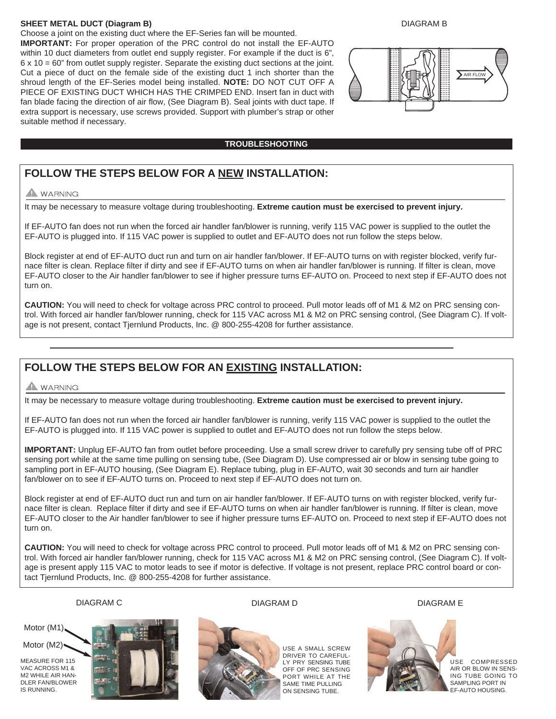## **SHEET METAL DUCT (Diagram B)**

Choose a joint on the existing duct where the EF-Series fan will be mounted. **IMPORTANT:** For proper operation of the PRC control do not install the EF-AUTO within 10 duct diameters from outlet end supply register. For example if the duct is 6", 6 x 10 = 60" from outlet supply register. Separate the existing duct sections at the joint. Cut a piece of duct on the female side of the existing duct 1 inch shorter than the shroud length of the EF-Series model being installed. **NOTE:** DO NOT CUT OFF A PIECE OF EXISTING DUCT WHICH HAS THE CRIMPED END. Insert fan in duct with fan blade facing the direction of air flow, (See Diagram B). Seal joints with duct tape. If extra support is necessary, use screws provided. Support with plumber's strap or other suitable method if necessary.

## DIAGRAM B



## **TROUBLESHOOTING**

## **FOLLOW THE STEPS BELOW FOR A NEW INSTALLATION:**

## A WARNING

It may be necessary to measure voltage during troubleshooting. **Extreme caution must be exercised to prevent injury.**

If EF-AUTO fan does not run when the forced air handler fan/blower is running, verify 115 VAC power is supplied to the outlet the EF-AUTO is plugged into. If 115 VAC power is supplied to outlet and EF-AUTO does not run follow the steps below.

Block register at end of EF-AUTO duct run and turn on air handler fan/blower. If EF-AUTO turns on with register blocked, verify furnace filter is clean. Replace filter if dirty and see if EF-AUTO turns on when air handler fan/blower is running. If filter is clean, move EF-AUTO closer to the Air handler fan/blower to see if higher pressure turns EF-AUTO on. Proceed to next step if EF-AUTO does not turn on.

**CAUTION:** You will need to check for voltage across PRC control to proceed. Pull motor leads off of M1 & M2 on PRC sensing control. With forced air handler fan/blower running, check for 115 VAC across M1 & M2 on PRC sensing control, (See Diagram C). If voltage is not present, contact Tjernlund Products, Inc. @ 800-255-4208 for further assistance.

## **FOLLOW THE STEPS BELOW FOR AN EXISTING INSTALLATION:**

## **A** WARNING

It may be necessary to measure voltage during troubleshooting. **Extreme caution must be exercised to prevent injury.**

If EF-AUTO fan does not run when the forced air handler fan/blower is running, verify 115 VAC power is supplied to the outlet the EF-AUTO is plugged into. If 115 VAC power is supplied to outlet and EF-AUTO does not run follow the steps below.

**IMPORTANT:** Unplug EF-AUTO fan from outlet before proceeding. Use a small screw driver to carefully pry sensing tube off of PRC sensing port while at the same time pulling on sensing tube, (See Diagram D). Use compressed air or blow in sensing tube going to sampling port in EF-AUTO housing, (See Diagram E). Replace tubing, plug in EF-AUTO, wait 30 seconds and turn air handler fan/blower on to see if EF-AUTO turns on. Proceed to next step if EF-AUTO does not turn on.

Block register at end of EF-AUTO duct run and turn on air handler fan/blower. If EF-AUTO turns on with register blocked, verify furnace filter is clean. Replace filter if dirty and see if EF-AUTO turns on when air handler fan/blower is running. If filter is clean, move EF-AUTO closer to the Air handler fan/blower to see if higher pressure turns EF-AUTO on. Proceed to next step if EF-AUTO does not turn on.

**CAUTION:** You will need to check for voltage across PRC control to proceed. Pull motor leads off of M1 & M2 on PRC sensing control. With forced air handler fan/blower running, check for 115 VAC across M1 & M2 on PRC sensing control, (See Diagram C). If voltage is present apply 115 VAC to motor leads to see if motor is defective. If voltage is not present, replace PRC control board or contact Tjernlund Products, Inc. @ 800-255-4208 for further assistance.

## DIAGRAM C DIAGRAM D DIAGRAM E

Motor (M1).

Motor (M2)

MEASURE FOR 115 VAC ACROSS M1 & M2 WHILE AIR HAN-DLER FAN/BLOWER IS RUNNING.





USE A SMALL SCREW DRIVER TO CAREFUL-LY PRY SENSING TUBE OFF OF PRC SENSING PORT WHILE AT THE SAME TIME PULLING ON SENSING TUBE.



USE COMPRESSED AIR OR BLOW IN SENS-ING TUBE GOING TO SAMPLING PORT IN EF-AUTO HOUSING.